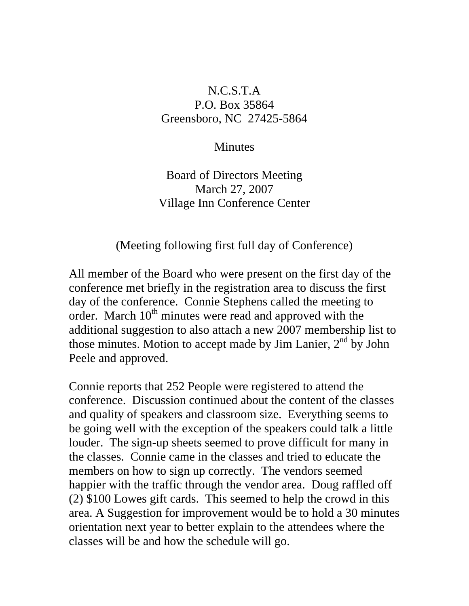## N.C.S.T.A P.O. Box 35864 Greensboro, NC 27425-5864

## **Minutes**

## Board of Directors Meeting March 27, 2007 Village Inn Conference Center

## (Meeting following first full day of Conference)

All member of the Board who were present on the first day of the conference met briefly in the registration area to discuss the first day of the conference. Connie Stephens called the meeting to order. March 10<sup>th</sup> minutes were read and approved with the additional suggestion to also attach a new 2007 membership list to those minutes. Motion to accept made by Jim Lanier,  $2<sup>nd</sup>$  by John Peele and approved.

Connie reports that 252 People were registered to attend the conference. Discussion continued about the content of the classes and quality of speakers and classroom size. Everything seems to be going well with the exception of the speakers could talk a little louder. The sign-up sheets seemed to prove difficult for many in the classes. Connie came in the classes and tried to educate the members on how to sign up correctly. The vendors seemed happier with the traffic through the vendor area. Doug raffled off (2) \$100 Lowes gift cards. This seemed to help the crowd in this area. A Suggestion for improvement would be to hold a 30 minutes orientation next year to better explain to the attendees where the classes will be and how the schedule will go.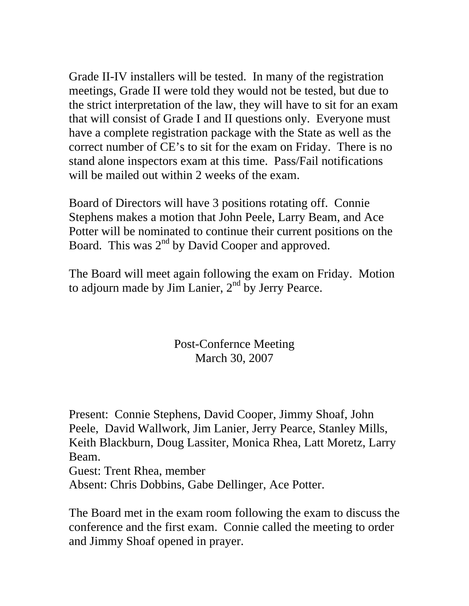Grade II-IV installers will be tested. In many of the registration meetings, Grade II were told they would not be tested, but due to the strict interpretation of the law, they will have to sit for an exam that will consist of Grade I and II questions only. Everyone must have a complete registration package with the State as well as the correct number of CE's to sit for the exam on Friday. There is no stand alone inspectors exam at this time. Pass/Fail notifications will be mailed out within 2 weeks of the exam.

Board of Directors will have 3 positions rotating off. Connie Stephens makes a motion that John Peele, Larry Beam, and Ace Potter will be nominated to continue their current positions on the Board. This was  $2<sup>nd</sup>$  by David Cooper and approved.

The Board will meet again following the exam on Friday. Motion to adjourn made by Jim Lanier,  $2<sup>nd</sup>$  by Jerry Pearce.

> Post-Confernce Meeting March 30, 2007

Present: Connie Stephens, David Cooper, Jimmy Shoaf, John Peele, David Wallwork, Jim Lanier, Jerry Pearce, Stanley Mills, Keith Blackburn, Doug Lassiter, Monica Rhea, Latt Moretz, Larry Beam.

Guest: Trent Rhea, member

Absent: Chris Dobbins, Gabe Dellinger, Ace Potter.

The Board met in the exam room following the exam to discuss the conference and the first exam. Connie called the meeting to order and Jimmy Shoaf opened in prayer.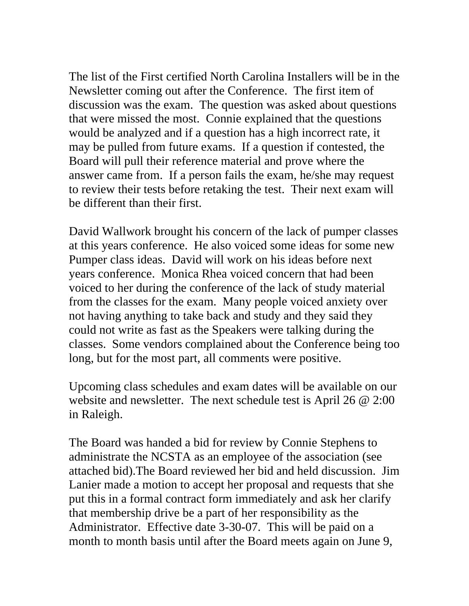The list of the First certified North Carolina Installers will be in the Newsletter coming out after the Conference. The first item of discussion was the exam. The question was asked about questions that were missed the most. Connie explained that the questions would be analyzed and if a question has a high incorrect rate, it may be pulled from future exams. If a question if contested, the Board will pull their reference material and prove where the answer came from. If a person fails the exam, he/she may request to review their tests before retaking the test. Their next exam will be different than their first.

David Wallwork brought his concern of the lack of pumper classes at this years conference. He also voiced some ideas for some new Pumper class ideas. David will work on his ideas before next years conference. Monica Rhea voiced concern that had been voiced to her during the conference of the lack of study material from the classes for the exam. Many people voiced anxiety over not having anything to take back and study and they said they could not write as fast as the Speakers were talking during the classes. Some vendors complained about the Conference being too long, but for the most part, all comments were positive.

Upcoming class schedules and exam dates will be available on our website and newsletter. The next schedule test is April 26 @ 2:00 in Raleigh.

The Board was handed a bid for review by Connie Stephens to administrate the NCSTA as an employee of the association (see attached bid).The Board reviewed her bid and held discussion. Jim Lanier made a motion to accept her proposal and requests that she put this in a formal contract form immediately and ask her clarify that membership drive be a part of her responsibility as the Administrator. Effective date 3-30-07. This will be paid on a month to month basis until after the Board meets again on June 9,